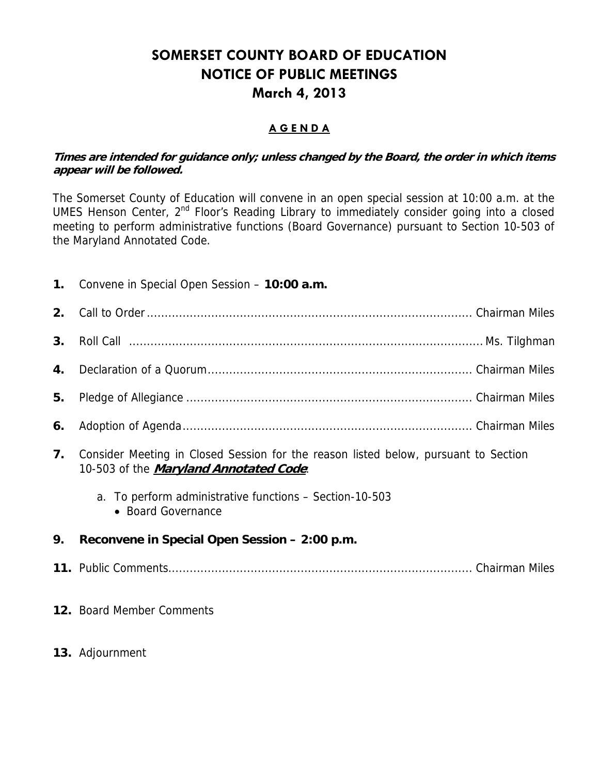## **SOMERSET COUNTY BOARD OF EDUCATION NOTICE OF PUBLIC MEETINGS March 4, 2013**

### **A G E N D A**

#### **Times are intended for guidance only; unless changed by the Board, the order in which items appear will be followed.**

The Somerset County of Education will convene in an open special session at 10:00 a.m. at the UMES Henson Center, 2nd Floor's Reading Library to immediately consider going into a closed meeting to perform administrative functions (Board Governance) pursuant to Section 10-503 of the Maryland Annotated Code.

| 1. | Convene in Special Open Session - 10:00 a.m.                                                                                          |
|----|---------------------------------------------------------------------------------------------------------------------------------------|
| 2. |                                                                                                                                       |
| 3. |                                                                                                                                       |
| 4. |                                                                                                                                       |
| 5. |                                                                                                                                       |
| 6. |                                                                                                                                       |
| 7. | Consider Meeting in Closed Session for the reason listed below, pursuant to Section<br>10-503 of the <i>Maryland Annotated Code</i> : |
|    | a. To perform administrative functions – Section-10-503<br>• Board Governance                                                         |
| 9. | Reconvene in Special Open Session - 2:00 p.m.                                                                                         |
|    |                                                                                                                                       |
|    | 12. Board Member Comments                                                                                                             |

**13.** Adjournment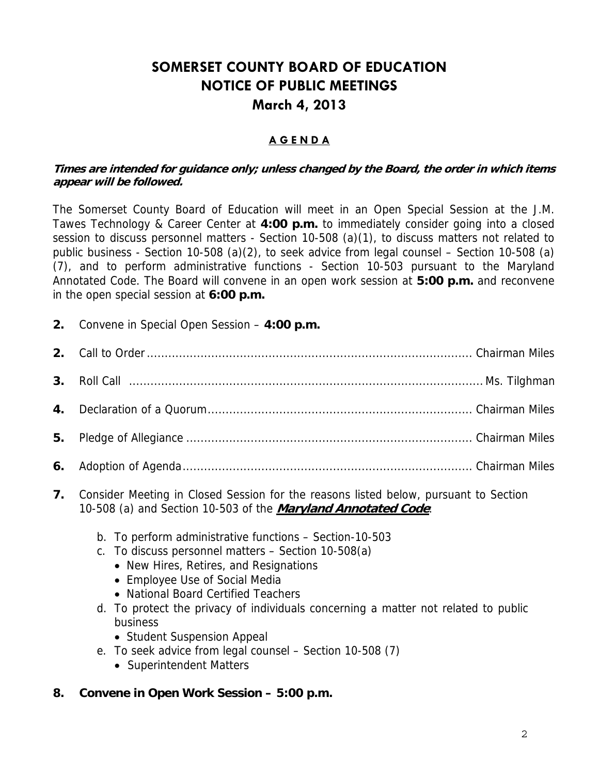## **SOMERSET COUNTY BOARD OF EDUCATION NOTICE OF PUBLIC MEETINGS March 4, 2013**

#### **A G E N D A**

#### **Times are intended for guidance only; unless changed by the Board, the order in which items appear will be followed.**

The Somerset County Board of Education will meet in an Open Special Session at the J.M. Tawes Technology & Career Center at **4:00 p.m.** to immediately consider going into a closed session to discuss personnel matters - Section 10-508 (a)(1), to discuss matters not related to public business - Section 10-508 (a)(2), to seek advice from legal counsel – Section 10-508 (a) (7), and to perform administrative functions - Section 10-503 pursuant to the Maryland Annotated Code. The Board will convene in an open work session at **5:00 p.m.** and reconvene in the open special session at **6:00 p.m.**

**2.** Convene in Special Open Session – **4:00 p.m.** 

- **7.** Consider Meeting in Closed Session for the reasons listed below, pursuant to Section 10-508 (a) and Section 10-503 of the **Maryland Annotated Code**:
	- b. To perform administrative functions Section-10-503
	- c. To discuss personnel matters Section 10-508(a)
		- New Hires, Retires, and Resignations
		- Employee Use of Social Media
		- National Board Certified Teachers
	- d. To protect the privacy of individuals concerning a matter not related to public business
		- Student Suspension Appeal
	- e. To seek advice from legal counsel Section 10-508 (7)
		- Superintendent Matters
- **8. Convene in Open Work Session 5:00 p.m.**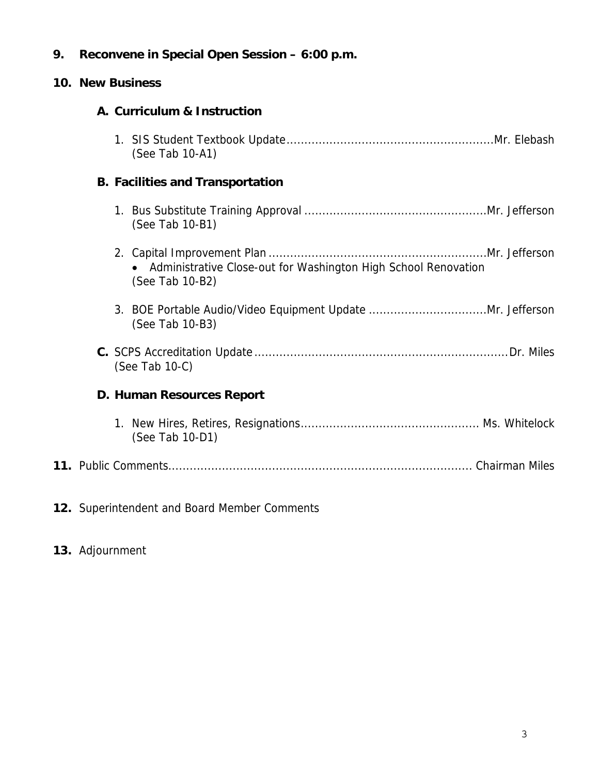## **9. Reconvene in Special Open Session – 6:00 p.m.**

## **10. New Business**

|  | A. Curriculum & Instruction                                                       |
|--|-----------------------------------------------------------------------------------|
|  | (See Tab 10-A1)                                                                   |
|  | <b>B. Facilities and Transportation</b>                                           |
|  | (See Tab 10-B1)                                                                   |
|  | Administrative Close-out for Washington High School Renovation<br>(See Tab 10-B2) |
|  | (See Tab 10-B3)                                                                   |
|  | (See Tab 10-C)                                                                    |
|  | D. Human Resources Report                                                         |
|  | (See Tab 10-D1)                                                                   |
|  |                                                                                   |
|  | 12. Superintendent and Board Member Comments                                      |

## **13.** Adjournment